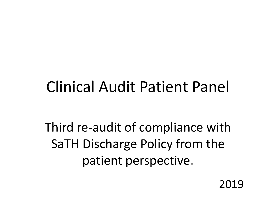## Clinical Audit Patient Panel

Third re-audit of compliance with SaTH Discharge Policy from the patient perspective.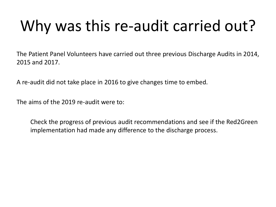# Why was this re-audit carried out?

The Patient Panel Volunteers have carried out three previous Discharge Audits in 2014, 2015 and 2017.

A re-audit did not take place in 2016 to give changes time to embed.

The aims of the 2019 re-audit were to:

Check the progress of previous audit recommendations and see if the Red2Green implementation had made any difference to the discharge process.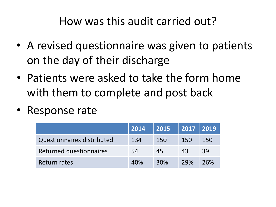#### How was this audit carried out?

- A revised questionnaire was given to patients on the day of their discharge
- Patients were asked to take the form home with them to complete and post back
- Response rate

|                                   | 2014 | 2015 | $ 20\overline{17}$ $ 20\overline{19}$ |     |
|-----------------------------------|------|------|---------------------------------------|-----|
| <b>Questionnaires distributed</b> | 134  | 150  | 150                                   | 150 |
| Returned questionnaires           | 54   | 45   | 43                                    | 39  |
| Return rates                      | 40%  | 30%  | 29%                                   | 26% |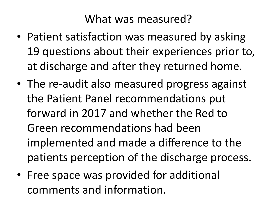What was measured?

- Patient satisfaction was measured by asking 19 questions about their experiences prior to, at discharge and after they returned home.
- The re-audit also measured progress against the Patient Panel recommendations put forward in 2017 and whether the Red to Green recommendations had been implemented and made a difference to the patients perception of the discharge process.
- Free space was provided for additional comments and information.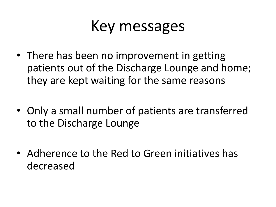## Key messages

- There has been no improvement in getting patients out of the Discharge Lounge and home; they are kept waiting for the same reasons
- Only a small number of patients are transferred to the Discharge Lounge
- Adherence to the Red to Green initiatives has decreased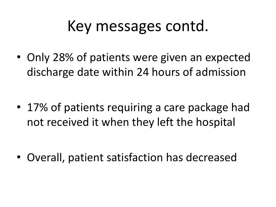## Key messages contd.

• Only 28% of patients were given an expected discharge date within 24 hours of admission

• 17% of patients requiring a care package had not received it when they left the hospital

• Overall, patient satisfaction has decreased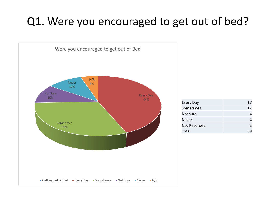### Q1. Were you encouraged to get out of bed?



| Every Day    | 17            |
|--------------|---------------|
| Sometimes    | 12            |
| Not sure     |               |
| Never        |               |
| Not Recorded | $\mathcal{P}$ |
| Total        | 39            |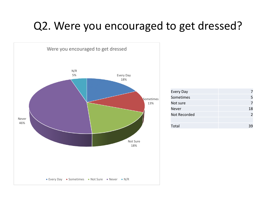### Q2. Were you encouraged to get dressed?



| Every Day           |                |
|---------------------|----------------|
| Sometimes           | 5              |
| Not sure            |                |
| Never               | 18             |
| <b>Not Recorded</b> | $\overline{2}$ |
|                     |                |
| Total               |                |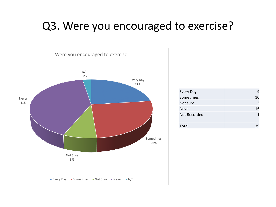#### Q3. Were you encouraged to exercise?



| 9  |
|----|
| 10 |
| 3  |
| 16 |
|    |
|    |
|    |
|    |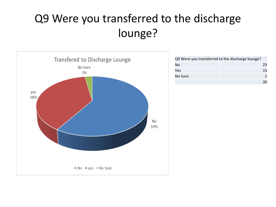### Q9 Were you transferred to the discharge lounge?



| Q9 Were you transferred to the discharge lounge? |    |
|--------------------------------------------------|----|
| No                                               | 23 |
| Yes                                              | 15 |
| No Sure                                          |    |
|                                                  | 39 |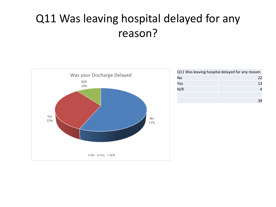### Q11 Was leaving hospital delayed for any reason?



|     | Q11 Was leaving hospital delayed for any reason |
|-----|-------------------------------------------------|
| No  | 22                                              |
| Yes | 13                                              |
| N/R |                                                 |
|     |                                                 |
|     | 39                                              |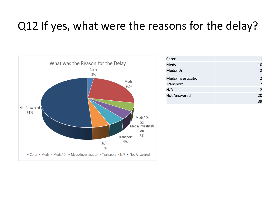### Q12 If yes, what were the reasons for the delay?



| Carer               | 1              |
|---------------------|----------------|
| Meds                | 10             |
| Meds/Dr             | $\overline{2}$ |
| Meds/Investigation  | $\overline{2}$ |
| Transport           | $\overline{2}$ |
| N/R                 | $\overline{2}$ |
| <b>Not Answered</b> | 20             |
|                     | 39             |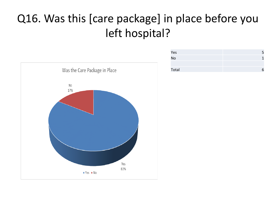### Q16. Was this [care package] in place before you left hospital?



| Yes   | 5 |
|-------|---|
| No    |   |
|       |   |
| Total | 6 |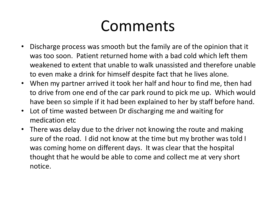## Comments

- Discharge process was smooth but the family are of the opinion that it was too soon. Patient returned home with a bad cold which left them weakened to extent that unable to walk unassisted and therefore unable to even make a drink for himself despite fact that he lives alone.
- When my partner arrived it took her half and hour to find me, then had to drive from one end of the car park round to pick me up. Which would have been so simple if it had been explained to her by staff before hand.
- Lot of time wasted between Dr discharging me and waiting for medication etc
- There was delay due to the driver not knowing the route and making sure of the road. I did not know at the time but my brother was told I was coming home on different days. It was clear that the hospital thought that he would be able to come and collect me at very short notice.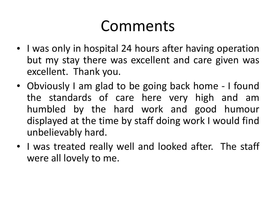## Comments

- I was only in hospital 24 hours after having operation but my stay there was excellent and care given was excellent. Thank you.
- Obviously I am glad to be going back home I found the standards of care here very high and am humbled by the hard work and good humour displayed at the time by staff doing work I would find unbelievably hard.
- I was treated really well and looked after. The staff were all lovely to me.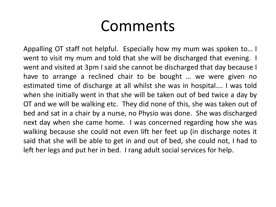### Comments

Appalling OT staff not helpful. Especially how my mum was spoken to… I went to visit my mum and told that she will be discharged that evening. I went and visited at 3pm I said she cannot be discharged that day because I have to arrange a reclined chair to be bought … we were given no estimated time of discharge at all whilst she was in hospital…. I was told when she initially went in that she will be taken out of bed twice a day by OT and we will be walking etc. They did none of this, she was taken out of bed and sat in a chair by a nurse, no Physio was done. She was discharged next day when she came home. I was concerned regarding how she was walking because she could not even lift her feet up (in discharge notes it said that she will be able to get in and out of bed, she could not, I had to left her legs and put her in bed. I rang adult social services for help.